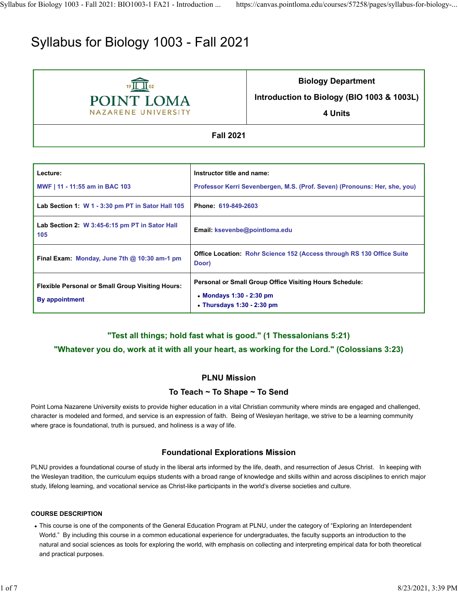# Syllabus for Biology 1003 - Fall 2021



**Biology Department**

**Introduction to Biology (BIO 1003 & 1003L)**

**4 Units**

**Fall 2021**

| Lecture:                                                                  | Instructor title and name:                                                                                                     |  |  |  |  |
|---------------------------------------------------------------------------|--------------------------------------------------------------------------------------------------------------------------------|--|--|--|--|
| MWF   11 - 11:55 am in BAC 103                                            | Professor Kerri Sevenbergen, M.S. (Prof. Seven) (Pronouns: Her, she, you)                                                      |  |  |  |  |
| Lab Section 1: W 1 - 3:30 pm PT in Sator Hall 105                         | Phone: 619-849-2603                                                                                                            |  |  |  |  |
| Lab Section 2: W 3:45-6:15 pm PT in Sator Hall<br>105                     | Email: ksevenbe@pointloma.edu                                                                                                  |  |  |  |  |
| Final Exam: Monday, June 7th $@$ 10:30 am-1 pm                            | <b>Office Location: Rohr Science 152 (Access through RS 130 Office Suite</b><br>Door)                                          |  |  |  |  |
| <b>Flexible Personal or Small Group Visiting Hours:</b><br>By appointment | <b>Personal or Small Group Office Visiting Hours Schedule:</b><br>• Mondays 1:30 - 2:30 pm<br>$\cdot$ Thursdays 1:30 - 2:30 pm |  |  |  |  |

## **"Test all things; hold fast what is good." (1 Thessalonians 5:21)**

## **"Whatever you do, work at it with all your heart, as working for the Lord." (Colossians 3:23)**

## **PLNU Mission**

## **To Teach ~ To Shape ~ To Send**

Point Loma Nazarene University exists to provide higher education in a vital Christian community where minds are engaged and challenged, character is modeled and formed, and service is an expression of faith. Being of Wesleyan heritage, we strive to be a learning community where grace is foundational, truth is pursued, and holiness is a way of life.

## **Foundational Explorations Mission**

PLNU provides a foundational course of study in the liberal arts informed by the life, death, and resurrection of Jesus Christ. In keeping with the Wesleyan tradition, the curriculum equips students with a broad range of knowledge and skills within and across disciplines to enrich major study, lifelong learning, and vocational service as Christ-like participants in the world's diverse societies and culture.

#### **COURSE DESCRIPTION**

This course is one of the components of the General Education Program at PLNU, under the category of "Exploring an Interdependent World." By including this course in a common educational experience for undergraduates, the faculty supports an introduction to the natural and social sciences as tools for exploring the world, with emphasis on collecting and interpreting empirical data for both theoretical and practical purposes.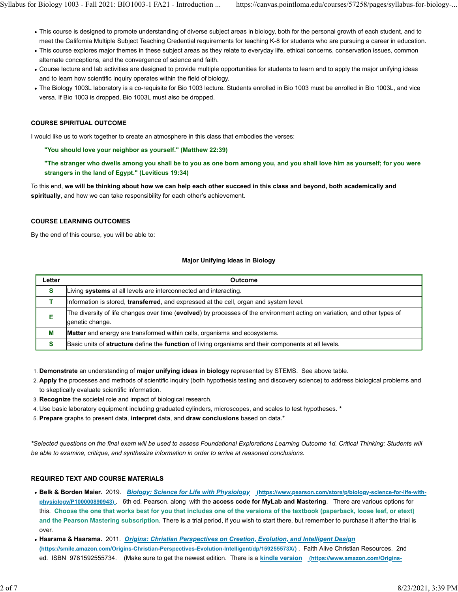- This course is designed to promote understanding of diverse subject areas in biology, both for the personal growth of each student, and to meet the California Multiple Subject Teaching Credential requirements for teaching K-8 for students who are pursuing a career in education.
- This course explores major themes in these subject areas as they relate to everyday life, ethical concerns, conservation issues, common alternate conceptions, and the convergence of science and faith.
- Course lecture and lab activities are designed to provide multiple opportunities for students to learn and to apply the major unifying ideas and to learn how scientific inquiry operates within the field of biology.
- The Biology 1003L laboratory is a co-requisite for Bio 1003 lecture. Students enrolled in Bio 1003 must be enrolled in Bio 1003L, and vice versa. If Bio 1003 is dropped, Bio 1003L must also be dropped.

#### **COURSE SPIRITUAL OUTCOME**

I would like us to work together to create an atmosphere in this class that embodies the verses:

**"You should love your neighbor as yourself." (Matthew 22:39)**

**"The stranger who dwells among you shall be to you as one born among you, and you shall love him as yourself; for you were strangers in the land of Egypt." (Leviticus 19:34)**

To this end, **we will be thinking about how we can help each other succeed in this class and beyond, both academically and spiritually**, and how we can take responsibility for each other's achievement.

#### **COURSE LEARNING OUTCOMES**

By the end of this course, you will be able to:

#### **Major Unifying Ideas in Biology**

| Letter | <b>Outcome</b>                                                                                                                               |
|--------|----------------------------------------------------------------------------------------------------------------------------------------------|
| s      | Living systems at all levels are interconnected and interacting.                                                                             |
|        | Information is stored, transferred, and expressed at the cell, organ and system level.                                                       |
| Е      | The diversity of life changes over time (evolved) by processes of the environment acting on variation, and other types of<br>genetic change. |
| М      | <b>Matter</b> and energy are transformed within cells, organisms and ecosystems.                                                             |
|        | Basic units of structure define the function of living organisms and their components at all levels.                                         |

- 1. **Demonstrate** an understanding of **major unifying ideas in biology** represented by STEMS. See above table.
- 2. **Apply** the processes and methods of scientific inquiry (both hypothesis testing and discovery science) to address biological problems and to skeptically evaluate scientific information.
- 3. **Recognize** the societal role and impact of biological research.
- 4. Use basic laboratory equipment including graduated cylinders, microscopes, and scales to test hypotheses. **\***
- 5. **Prepare** graphs to present data, **interpret** data, and **draw conclusions** based on data.\*

*\*Selected questions on the final exam will be used to assess Foundational Explorations Learning Outcome 1d. Critical Thinking: Students will be able to examine, critique, and synthesize information in order to arrive at reasoned conclusions.*

#### **REQUIRED TEXT AND COURSE MATERIALS**

- **Belk & Borden Maier.** 2019. *Biology: Science for Life with Physiology* **(https://www.pearson.com/store/p/biology-science-for-life-withphysiology/P100000890943)** . 6th ed. Pearson. along with the **access code for MyLab and Mastering**. There are various options for this. **Choose the one that works best for you that includes one of the versions of the textbook (paperback, loose leaf, or etext) and the Pearson Mastering subscription***.* There is a trial period, if you wish to start there, but remember to purchase it after the trial is over.
- **Haarsma & Haarsma.** 2011. *Origins: Christian Perspectives on Creation, Evolution, and Intelligent Design* **(https://smile.amazon.com/Origins-Christian-Perspectives-Evolution-Intelligent/dp/159255573X/)** . Faith Alive Christian Resources. 2nd ed. ISBN 9781592555734. (Make sure to get the newest edition. There is a **kindle version (https://www.amazon.com/Origins-**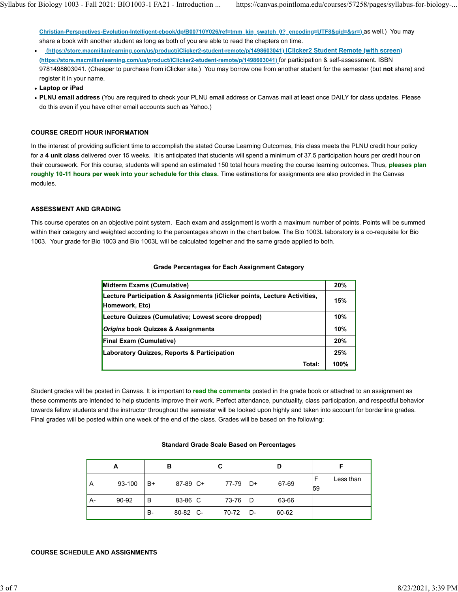**Christian-Perspectives-Evolution-Intelligent-ebook/dp/B00710Y026/ref=tmm\_kin\_swatch\_0?\_encoding=UTF8&qid=&sr=)** as well.) You may share a book with another student as long as both of you are able to read the chapters on time.

- **(https://store.macmillanlearning.com/us/product/iClicker2-student-remote/p/1498603041) iClicker2 Student Remote (with screen) (https://store.macmillanlearning.com/us/product/iClicker2-student-remote/p/1498603041)** for participation & self-assessment. ISBN 9781498603041. (Cheaper to purchase from iClicker site.) You may borrow one from another student for the semester (but **not** share) and register it in your name.
- **Laptop or iPad**
- **PLNU email address** (You are required to check your PLNU email address or Canvas mail at least once DAILY for class updates. Please do this even if you have other email accounts such as Yahoo.)

#### **COURSE CREDIT HOUR INFORMATION**

In the interest of providing sufficient time to accomplish the stated Course Learning Outcomes, this class meets the PLNU credit hour policy for a **4 unit class** delivered over 15 weeks. It is anticipated that students will spend a minimum of 37.5 participation hours per credit hour on their coursework. For this course, students will spend an estimated 150 total hours meeting the course learning outcomes. Thus, **pleases plan roughly 10-11 hours per week into your schedule for this class.** Time estimations for assignments are also provided in the Canvas modules.

#### **ASSESSMENT AND GRADING**

This course operates on an objective point system. Each exam and assignment is worth a maximum number of points. Points will be summed within their category and weighted according to the percentages shown in the chart below. The Bio 1003L laboratory is a co-requisite for Bio 1003. Your grade for Bio 1003 and Bio 1003L will be calculated together and the same grade applied to both.

| Midterm Exams (Cumulative)                                                | 20%  |  |  |
|---------------------------------------------------------------------------|------|--|--|
| Lecture Participation & Assignments (iClicker points, Lecture Activities, | 15%  |  |  |
| Homework, Etc)                                                            |      |  |  |
| Lecture Quizzes (Cumulative; Lowest score dropped)                        | 10%  |  |  |
| <b>Origins book Quizzes &amp; Assignments</b>                             | 10%  |  |  |
| <b>Final Exam (Cumulative)</b>                                            | 20%  |  |  |
| <b>Laboratory Quizzes, Reports &amp; Participation</b>                    |      |  |  |
| Total:                                                                    | 100% |  |  |

#### **Grade Percentages for Each Assignment Category**

Student grades will be posted in Canvas. It is important to **read the comments** posted in the grade book or attached to an assignment as these comments are intended to help students improve their work. Perfect attendance, punctuality, class participation, and respectful behavior towards fellow students and the instructor throughout the semester will be looked upon highly and taken into account for borderline grades. Final grades will be posted within one week of the end of the class. Grades will be based on the following:

#### **Standard Grade Scale Based on Percentages**

| A  |        | в  |            | С  |       |    |       |    |           |
|----|--------|----|------------|----|-------|----|-------|----|-----------|
| A  | 93-100 | B+ | $87-89$ C+ |    | 77-79 | D+ | 67-69 | 59 | Less than |
| A- | 90-92  | В  | 83-86 C    |    | 73-76 | D  | 63-66 |    |           |
|    |        | B- | 80-82      | C- | 70-72 | D- | 60-62 |    |           |

#### **COURSE SCHEDULE AND ASSIGNMENTS**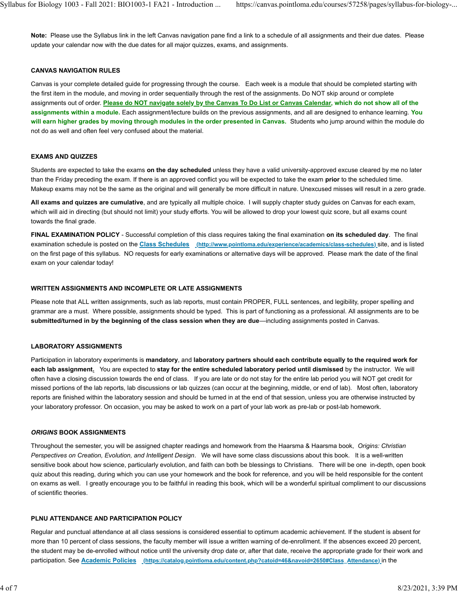**Note:** Please use the Syllabus link in the left Canvas navigation pane find a link to a schedule of all assignments and their due dates. Please update your calendar now with the due dates for all major quizzes, exams, and assignments.

#### **CANVAS NAVIGATION RULES**

Canvas is your complete detailed guide for progressing through the course. Each week is a module that should be completed starting with the first item in the module, and moving in order sequentially through the rest of the assignments. Do NOT skip around or complete assignments out of order. **Please do NOT navigate solely by the Canvas To Do List or Canvas Calendar, which do not show all of the assignments within a module.** Each assignment/lecture builds on the previous assignments, and all are designed to enhance learning. **You will earn higher grades by moving through modules in the order presented in Canvas.** Students who jump around within the module do not do as well and often feel very confused about the material.

#### **EXAMS AND QUIZZES**

Students are expected to take the exams **on the day scheduled** unless they have a valid university-approved excuse cleared by me no later than the Friday preceding the exam. If there is an approved conflict you will be expected to take the exam **prior** to the scheduled time. Makeup exams may not be the same as the original and will generally be more difficult in nature. Unexcused misses will result in a zero grade.

**All exams and quizzes are cumulative**, and are typically all multiple choice. I will supply chapter study guides on Canvas for each exam, which will aid in directing (but should not limit) your study efforts. You will be allowed to drop your lowest quiz score, but all exams count towards the final grade.

**FINAL EXAMINATION POLICY** - Successful completion of this class requires taking the final examination **on its scheduled day**. The final examination schedule is posted on the **Class Schedules (http://www.pointloma.edu/experience/academics/class-schedules)** site, and is listed on the first page of this syllabus. NO requests for early examinations or alternative days will be approved. Please mark the date of the final exam on your calendar today!

#### **WRITTEN ASSIGNMENTS AND INCOMPLETE OR LATE ASSIGNMENTS**

Please note that ALL written assignments, such as lab reports, must contain PROPER, FULL sentences, and legibility, proper spelling and grammar are a must. Where possible, assignments should be typed. This is part of functioning as a professional. All assignments are to be **submitted/turned in by the beginning of the class session when they are due**—including assignments posted in Canvas.

#### **LABORATORY ASSIGNMENTS**

Participation in laboratory experiments is **mandatory**, and **laboratory partners should each contribute equally to the required work for each lab assignment.** You are expected to **stay for the entire scheduled laboratory period until dismissed** by the instructor. We will often have a closing discussion towards the end of class. If you are late or do not stay for the entire lab period you will NOT get credit for missed portions of the lab reports, lab discussions or lab quizzes (can occur at the beginning, middle, or end of lab). Most often, laboratory reports are finished within the laboratory session and should be turned in at the end of that session, unless you are otherwise instructed by your laboratory professor. On occasion, you may be asked to work on a part of your lab work as pre-lab or post-lab homework.

#### *ORIGINS* **BOOK ASSIGNMENTS**

Throughout the semester, you will be assigned chapter readings and homework from the Haarsma & Haarsma book, *Origins: Christian Perspectives on Creation, Evolution, and Intelligent Design*. We will have some class discussions about this book. It is a well-written sensitive book about how science, particularly evolution, and faith can both be blessings to Christians. There will be one in-depth, open book quiz about this reading, during which you can use your homework and the book for reference, and you will be held responsible for the content on exams as well. I greatly encourage you to be faithful in reading this book, which will be a wonderful spiritual compliment to our discussions of scientific theories.

#### **PLNU ATTENDANCE AND PARTICIPATION POLICY**

Regular and punctual attendance at all class sessions is considered essential to optimum academic achievement. If the student is absent for more than 10 percent of class sessions, the faculty member will issue a written warning of de-enrollment. If the absences exceed 20 percent, the student may be de-enrolled without notice until the university drop date or, after that date, receive the appropriate grade for their work and participation. See **Academic Policies (https://catalog.pointloma.edu/content.php?catoid=46&navoid=2650#Class\_Attendance)** in the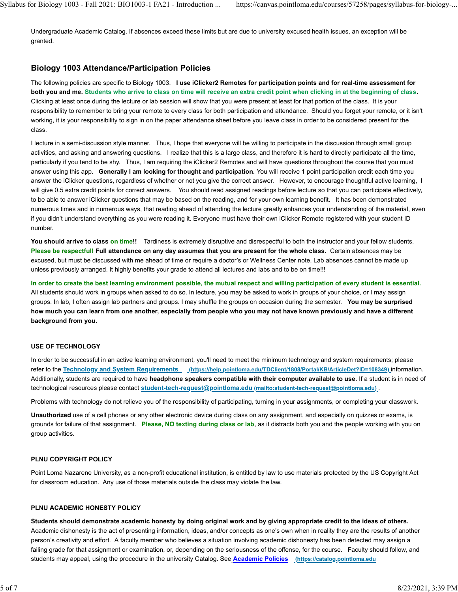Undergraduate Academic Catalog. If absences exceed these limits but are due to university excused health issues, an exception will be granted.

## **Biology 1003 Attendance/Participation Policies**

The following policies are specific to Biology 1003. **I use iClicker2 Remotes for participation points and for real-time assessment for both you and me. Students who arrive to class on time will receive an extra credit point when clicking in at the beginning of class.**  Clicking at least once during the lecture or lab session will show that you were present at least for that portion of the class. It is your responsibility to remember to bring your remote to every class for both participation and attendance. Should you forget your remote, or it isn't working, it is your responsibility to sign in on the paper attendance sheet before you leave class in order to be considered present for the class.

I lecture in a semi-discussion style manner. Thus, I hope that everyone will be willing to participate in the discussion through small group activities, and asking and answering questions. I realize that this is a large class, and therefore it is hard to directly participate all the time, particularly if you tend to be shy. Thus, I am requiring the iClicker2 Remotes and will have questions throughout the course that you must answer using this app. **Generally I am looking for thought and participation.** You will receive 1 point participation credit each time you answer the iClicker questions, regardless of whether or not you give the correct answer. However, to encourage thoughtful active learning, I will give 0.5 extra credit points for correct answers. You should read assigned readings before lecture so that you can participate effectively, to be able to answer iClicker questions that may be based on the reading, and for your own learning benefit. It has been demonstrated numerous times and in numerous ways, that reading ahead of attending the lecture greatly enhances your understanding of the material, even if you didn't understand everything as you were reading it. Everyone must have their own iClicker Remote registered with your student ID number.

You should arrive to class on time!! Tardiness is extremely disruptive and disrespectful to both the instructor and your fellow students. **Please be respectful! Full attendance on any day assumes that you are present for the whole class.** Certain absences may be excused, but must be discussed with me ahead of time or require a doctor's or Wellness Center note. Lab absences cannot be made up unless previously arranged. It highly benefits your grade to attend all lectures and labs and to be on time!!!

**In order to create the best learning environment possible, the mutual respect and willing participation of every student is essential.** All students should work in groups when asked to do so. In lecture, you may be asked to work in groups of your choice, or I may assign groups. In lab, I often assign lab partners and groups. I may shuffle the groups on occasion during the semester. **You may be surprised how much you can learn from one another, especially from people who you may not have known previously and have a different background from you.**

#### **USE OF TECHNOLOGY**

In order to be successful in an active learning environment, you'll need to meet the minimum technology and system requirements; please refer to the **Technology and System Requirements (https://help.pointloma.edu/TDClient/1808/Portal/KB/ArticleDet?ID=108349)** information. Additionally, students are required to have **headphone speakers compatible with their computer available to use**. If a student is in need of technological resources please contact **student-tech-request@pointloma.edu (mailto:student-tech-request@pointloma.edu)** .

Problems with technology do not relieve you of the responsibility of participating, turning in your assignments, or completing your classwork.

**Unauthorized** use of a cell phones or any other electronic device during class on any assignment, and especially on quizzes or exams, is grounds for failure of that assignment. **Please, NO texting during class or lab**, as it distracts both you and the people working with you on group activities.

#### **PLNU COPYRIGHT POLICY**

Point Loma Nazarene University, as a non-profit educational institution, is entitled by law to use materials protected by the US Copyright Act for classroom education. Any use of those materials outside the class may violate the law.

#### **PLNU ACADEMIC HONESTY POLICY**

**Students should demonstrate academic honesty by doing original work and by giving appropriate credit to the ideas of others.** Academic dishonesty is the act of presenting information, ideas, and/or concepts as one's own when in reality they are the results of another person's creativity and effort. A faculty member who believes a situation involving academic dishonesty has been detected may assign a failing grade for that assignment or examination, or, depending on the seriousness of the offense, for the course. Faculty should follow, and students may appeal, using the procedure in the university Catalog. See **Academic Policies (https://catalog.pointloma.edu**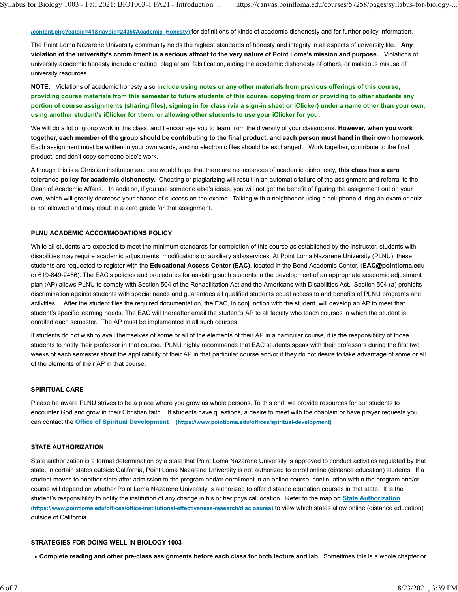**/content.php?catoid=41&navoid=2435#Academic\_Honesty)** for definitions of kinds of academic dishonesty and for further policy information.

The Point Loma Nazarene University community holds the highest standards of honesty and integrity in all aspects of university life. **Any violation of the university's commitment is a serious affront to the very nature of Point Loma's mission and purpose.** Violations of university academic honesty include cheating, plagiarism, falsification, aiding the academic dishonesty of others, or malicious misuse of university resources.

**NOTE:** Violations of academic honesty also **include using notes or any other materials from previous offerings of this course, providing course materials from this semester to future students of this course, copying from or providing to other students any portion of course assignments (sharing files), signing in for class (via a sign-in sheet or iClicker) under a name other than your own, using another student's iClicker for them, or allowing other students to use your iClicker for you.**

We will do a lot of group work in this class, and I encourage you to learn from the diversity of your classrooms. **However, when you work together, each member of the group should be contributing to the final product, and each person must hand in their own homework.** Each assignment must be written in your own words, and no electronic files should be exchanged. Work together, contribute to the final product, and don't copy someone else's work.

Although this is a Christian institution and one would hope that there are no instances of academic dishonesty, **this class has a zero tolerance policy for academic dishonesty.** Cheating or plagiarizing will result in an automatic failure of the assignment and referral to the Dean of Academic Affairs. In addition, if you use someone else's ideas, you will not get the benefit of figuring the assignment out on your own, which will greatly decrease your chance of success on the exams. Talking with a neighbor or using a cell phone during an exam or quiz is not allowed and may result in a zero grade for that assignment.

#### **PLNU ACADEMIC ACCOMMODATIONS POLICY**

While all students are expected to meet the minimum standards for completion of this course as established by the instructor, students with disabilities may require academic adjustments, modifications or auxiliary aids/services. At Point Loma Nazarene University (PLNU), these students are requested to register with the **Educational Access Center (EAC)**, located in the Bond Academic Center. (**EAC@pointloma.edu** or 619-849-2486). The EAC's policies and procedures for assisting such students in the development of an appropriate academic adjustment plan (AP) allows PLNU to comply with Section 504 of the Rehabilitation Act and the Americans with Disabilities Act. Section 504 (a) prohibits discrimination against students with special needs and guarantees all qualified students equal access to and benefits of PLNU programs and activities. After the student files the required documentation, the EAC, in conjunction with the student, will develop an AP to meet that student's specific learning needs. The EAC will thereafter email the student's AP to all faculty who teach courses in which the student is enrolled each semester. The AP must be implemented in all such courses.

If students do not wish to avail themselves of some or all of the elements of their AP in a particular course, it is the responsibility of those students to notify their professor in that course. PLNU highly recommends that EAC students speak with their professors during the first two weeks of each semester about the applicability of their AP in that particular course and/or if they do not desire to take advantage of some or all of the elements of their AP in that course.

#### **SPIRITUAL CARE**

Please be aware PLNU strives to be a place where you grow as whole persons. To this end, we provide resources for our students to encounter God and grow in their Christian faith. If students have questions, a desire to meet with the chaplain or have prayer requests you can contact the **Office of Spiritual Development (https://www.pointloma.edu/offices/spiritual-development)** .

#### **STATE AUTHORIZATION**

State authorization is a formal determination by a state that Point Loma Nazarene University is approved to conduct activities regulated by that state. In certain states outside California, Point Loma Nazarene University is not authorized to enroll online (distance education) students. If a student moves to another state after admission to the program and/or enrollment in an online course, continuation within the program and/or course will depend on whether Point Loma Nazarene University is authorized to offer distance education courses in that state. It is the student's responsibility to notify the institution of any change in his or her physical location. Refer to the map on **State Authorization (https://www.pointloma.edu/offices/office-institutional-effectiveness-research/disclosures)** to view which states allow online (distance education) outside of California.

#### **STRATEGIES FOR DOING WELL IN BIOLOGY 1003**

**Complete reading and other pre-class assignments before each class for both lecture and lab.** Sometimes this is a whole chapter or